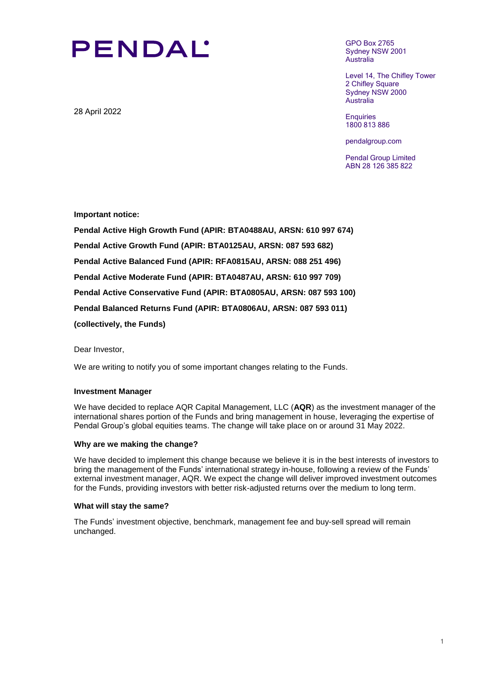# **PENDAL'**

28 April 2022

GPO Box 2765 Sydney NSW 2001 Australia

Level 14, The Chifley Tower 2 Chifley Square Sydney NSW 2000 Australia

**Enquiries** 1800 813 886

pendalgroup.com

Pendal Group Limited ABN 28 126 385 822

**Important notice:** 

**Pendal Active High Growth Fund (APIR: BTA0488AU, ARSN: 610 997 674) Pendal Active Growth Fund (APIR: BTA0125AU, ARSN: 087 593 682) Pendal Active Balanced Fund (APIR: RFA0815AU, ARSN: 088 251 496) Pendal Active Moderate Fund (APIR: BTA0487AU, ARSN: 610 997 709) Pendal Active Conservative Fund (APIR: BTA0805AU, ARSN: 087 593 100) Pendal Balanced Returns Fund (APIR: BTA0806AU, ARSN: 087 593 011) (collectively, the Funds)**

Dear Investor,

We are writing to notify you of some important changes relating to the Funds.

## **Investment Manager**

We have decided to replace AQR Capital Management, LLC (**AQR**) as the investment manager of the international shares portion of the Funds and bring management in house, leveraging the expertise of Pendal Group's global equities teams. The change will take place on or around 31 May 2022.

#### **Why are we making the change?**

We have decided to implement this change because we believe it is in the best interests of investors to bring the management of the Funds' international strategy in-house, following a review of the Funds' external investment manager, AQR. We expect the change will deliver improved investment outcomes for the Funds, providing investors with better risk-adjusted returns over the medium to long term.

#### **What will stay the same?**

The Funds' investment objective, benchmark, management fee and buy-sell spread will remain unchanged.